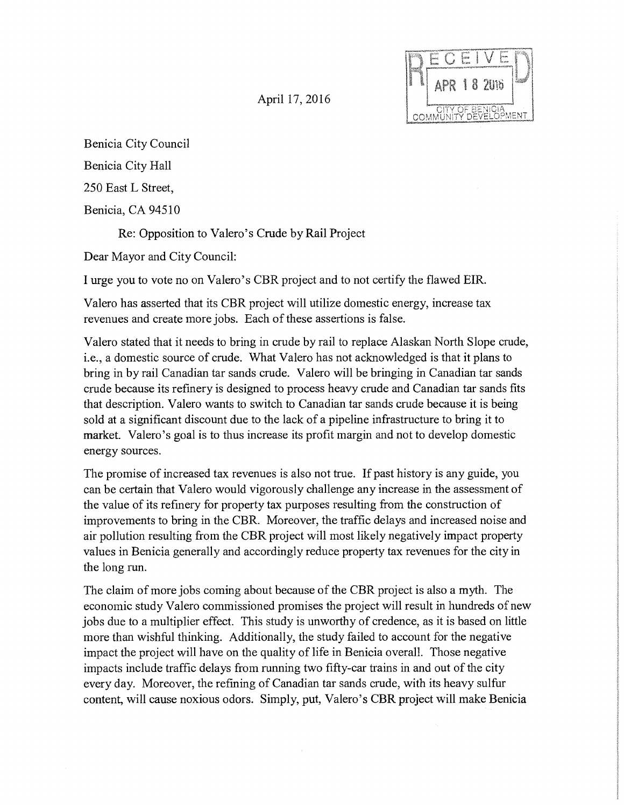April 17, 2016



Benicia City Council

Benicia City Hall

250 East L Street,

Benicia, CA 94510

Re: Opposition to Valera's Crude by Rail Project

Dear Mayor and City Council:

I urge you to vote no on Valera's CBR project and to not certify the flawed EIR.

Valero has asserted that its CBR project will utilize domestic energy, increase tax revenues and create more jobs. Each of these assertions is false.

Valero stated that it needs to bring in crude by rail to replace Alaskan North Slope crude, i.e., a domestic source of crude. What Valero has not acknowledged is that it plans to bring in by rail Canadian tar sands crude. Valero will be bringing in Canadian tar sands crude because its refinery is designed to process heavy crude and Canadian tar sands fits that description. Valero wants to switch to Canadian tar sands crude because it is being sold at a significant discount due to the lack of a pipeline infrastructure to bring it to market. Valero's goal is to thus increase its profit margin and not to develop domestic energy sources.

The promise of increased tax revenues is also not true. If past history is any guide, you can be certain that Valero would vigorously challenge any increase in the assessment of the value of its refinery for property tax purposes resulting from the construction of improvements to bring in the CBR. Moreover, the traffic delays and increased noise and air pollution resulting from the CBR project will most likely negatively impact property values in Benicia generally and accordingly reduce property tax revenues for the city in the long run.

The claim of more jobs coming about because of the CBR project is also a myth. The economic study Valero commissioned promises the project will result in hundreds of new jobs due to a multiplier effect. This study is unworthy of credence, as it is based on little more than wishful thinking. Additionally, the study failed to account for the negative impact the project will have on the quality of life in Benicia overall. Those negative impacts include traffic delays from running two fifty-car trains in and out of the city every day. Moreover, the refining of Canadian tar sands crude, with its heavy sulfur content, will cause noxious odors. Simply, put, Valera's CBR project will make Benicia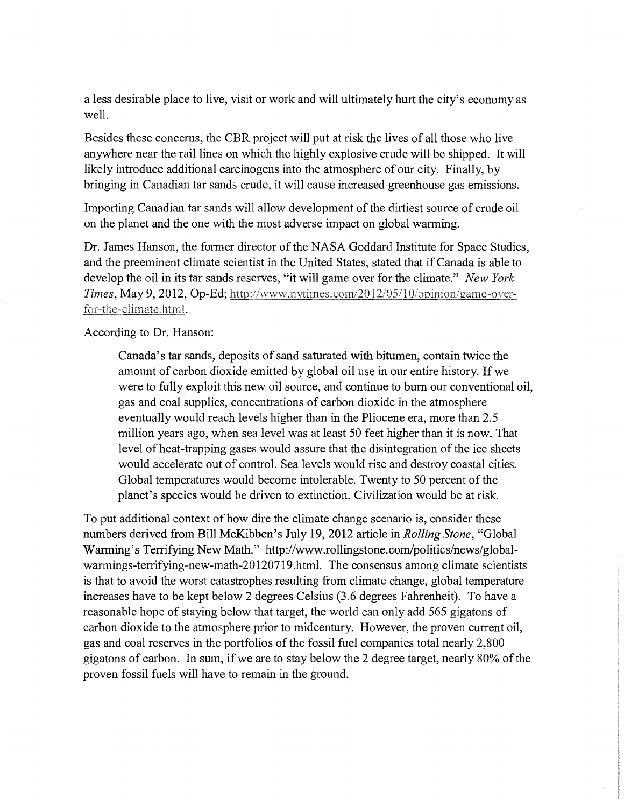a less desirable place to live, visit or work and will ultimately hurt the city's economy as well.

Besides these concerns, the CBR project will put at risk the lives of all those who live anywhere near the rail lines on which the highly explosive crude will be shipped. It will likely introduce additional carcinogens into the atmosphere of our city. Finally, by bringing in Canadian tar sands crude, it will cause increased greenhouse gas emissions.

Importing Canadian tar sands will allow development of the dirtiest source of crude oil on the planet and the one with the most adverse impact on global warming.

Dr. James Hanson, the fonner director of the NASA Goddard Institute for Space Studies, and the preeminent climate scientist in the United States, stated that if Canada is able to develop the oil in its tar sands reserves, "it will game over for the climate." *New York Times, May 9, 2012, Op-Ed; http://www.nytimes.com/2012/05/10/opinion/game-over*for-the-climate.html.

According to Dr. Hanson:

Canada's tar sands, deposits of sand saturated with bitumen, contain twice the amount of carbon dioxide emitted by global oil use in our entire history. If we were to fully exploit this new oil source, and continue to bum our conventional oil, gas and coal supplies, concentrations of carbon dioxide in the atmosphere eventually would reach levels higher than in the Pliocene era, more than 2.5 million years ago, when sea level was at least 50 feet higher than it is now. That level of heat-trapping gases would assure that the disintegration of the ice sheets would accelerate out of control. Sea levels would rise and destroy coastal cities. Global temperatures would become intolerable. Twenty to 50 percent of the planet's species would be driven to extinction. Civilization would be at risk.

To put additional context of how dire the climate change scenario is, consider these numbers derived from Bill McKibben's July 19, 2012 article in *Rolling Stone,* "Global Warming's Terrifying New Math." http://www.rollingstone.com/politics/news/globalwarmings-terrifying-new-math-20120719.html. The consensus among climate scientists is that to avoid the worst catastrophes resulting from climate change, global temperature increases have to be kept below 2 degrees Celsius (3.6 degrees Fahrenheit). To have a reasonable hope of staying below that target, the world can only add 565 gigatons of carbon dioxide to the atmosphere prior to midcentury. However, the proven current oil, gas and coal reserves in the portfolios of the fossil fuel companies total nearly 2,800 gigatons of carbon. In sum, if we are to stay below the 2 degree target, nearly 80% of the proven fossil fuels will have to remain in the ground.